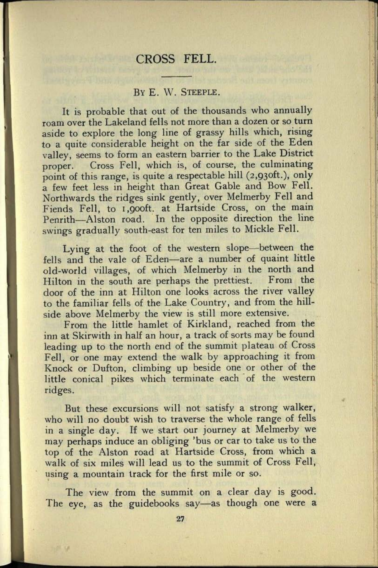## CROSS FELL.

## BY E. W. STEEPLE.

It is probable that out of the thousands who annually roam over the Lakeland fells not more than a dozen or so turn aside to explore the long line of grassy hills which, rising to a quite considerable height on the far side of the Eden valley, seems to form an eastern barrier to the Lake District proper. Cross Fell, which is, of course, the culminating point of this range, is quite a respectable hill (2,93oft.), only a few feet less in height than Great Gable and Bow Fell. Northwards the ridges sink gently, over Melmerby Fell and Fiends Fell, to i.gooft. at Hartside Cross, on the main Penrith-Alston road. In the opposite direction the line swings gradually south-east for ten miles to Mickle Fell.

Lying at the foot of the western slope—between the fells and the vale of Eden-are a number of quaint little old-world villages, of which Melmerby in the north and Hilton in the south are perhaps the prettiest. From the door of the inn at Hilton one looks across the river valley to the familiar fells of the Lake Country, and from the hillside above Melmerby the view is still more extensive.

From the little hamlet of Kirkland, reached from the inn at Skirwith in half an hour, a track of sorts may be found leading up to the north end of the summit plateau of Cross Fell, or one may extend the walk by approaching it from Knock or Dufton, climbing up beside one or other of the little conical pikes which terminate each of the western ridges.

But these excursions will not satisfy a strong walker, who will no doubt wish to traverse the whole range of fells in a single day. If we start our journey at Melmerby we may perhaps induce an obliging 'bus or car to take us to the top of the Alston road at Hartside Cross, from which <sup>a</sup> walk of six miles will lead us to the summit of Cross Fell, using a mountain track for the first mile or so.

The view from the summit on a clear day is good. The eye, as the guidebooks say-as though one were a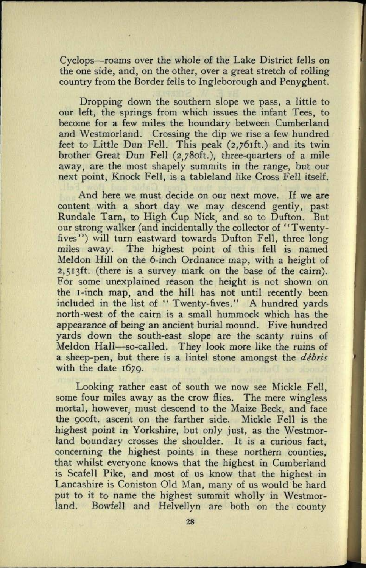Cyclops-roams over the whole of the Lake District fells on the one side, and, on the other, over a great stretch of rolling country from the Border fells to Ingleborough and Penyghent.

Dropping down the southern slope we pass, a little to our left, the springs from which issues the infant Tees, to become for a few miles the boundary between Cumberland and Westmorland. Crossing the dip we rise a few hundred feet to Little Dun Fell. This peak (2,76ift.) and its twin brother Great Dun Fell (2,780ft.), three-quarters of a mile away, are the most shapely summits in the range, but our next point, Knock Fell, is a tableland like Cross Fell itself.

And here we must decide on our next move. If we are content with a short day we may descend gently, pas<sup>t</sup> Rundale Tarn, to High Cup Nick, and so to Dufton. But our strong walker (and incidentally the collector of '' Twentyfives") will turn eastward towards Dufton Fell, three long miles away. The highest point of this fell is named Meldon Hill on the 6-inch Ordnance map, with a height of 2,513ft. (there is a survey mark on the base of the cairn). For some unexplained reason the height is not shown on the i-inch map, and the hill has not until recently been included in the list of " Twenty-fives." A hundred yards north-west of the cairn is a small hummock which has the appearance of being an ancient burial mound. Five hundred yards down the south-east slope are the scanty ruins of Meldon Hall-so-called. They look more like the ruins of *<sup>a</sup>*sheep-pen, but there is a lintel stone amongst the *debris*  with the date 1670.

Looking rather east of south we now see Mickle Fell, some four miles away as the crow flies. The mere wingless mortal, however, must descend to the Maize Beck, and face the gooft. ascent on the farther side. Mickle Fell is the highest point in Yorkshire, but only just, as the Westmorland boundary crosses the shoulder. It is a curious fact, concerning the highest points in these northern counties, that whilst everyone knows that the highest in Cumberland is Scafell Pike, and most of us know that the highest in Lancashire is Coniston Old Man, many of us would be hard put to it to name the highest summit wholly in Westmorland. Bowfell and Helvellyn are both on the county